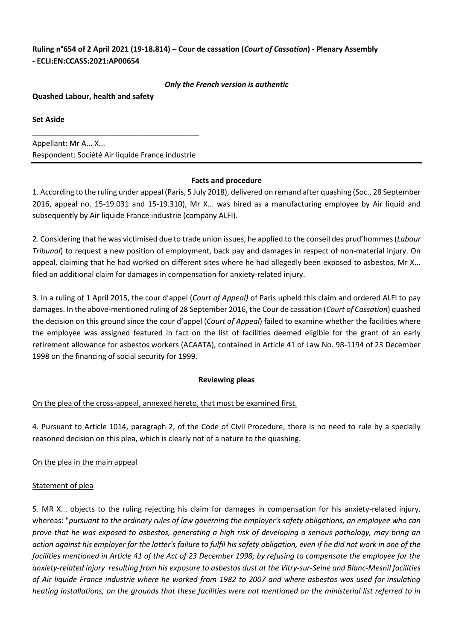# **Ruling n°654 of 2 April 2021 (19-18.814) – Cour de cassation (***Court of Cassation***) - Plenary Assembly - ECLI:EN:CCASS:2021:AP00654**

#### *Only the French version is authentic*

**Quashed Labour, health and safety** 

**Set Aside**

Appellant: Mr A... X... Respondent: Société Air liquide France industrie

\_\_\_\_\_\_\_\_\_\_\_\_\_\_\_\_\_\_\_\_\_\_\_\_\_\_\_\_\_\_\_\_\_\_\_\_\_\_\_\_

### **Facts and procedure**

1. According to the ruling under appeal (Paris, 5 July 2018), delivered on remand after quashing (Soc., 28 September 2016, appeal no. 15-19.031 and 15-19.310), Mr X... was hired as a manufacturing employee by Air liquid and subsequently by Air liquide France industrie (company ALFI).

2. Considering that he was victimised due to trade union issues, he applied to the conseil des prud'hommes (*Labour Tribunal*) to request a new position of employment, back pay and damages in respect of non-material injury. On appeal, claiming that he had worked on different sites where he had allegedly been exposed to asbestos, Mr X... filed an additional claim for damages in compensation for anxiety-related injury.

3. In a ruling of 1 April 2015, the cour d'appel (*Court of Appeal)* of Paris upheld this claim and ordered ALFI to pay damages. In the above-mentioned ruling of 28 September 2016, the Cour de cassation (*Court of Cassation*) quashed the decision on this ground since the cour d'appel (*Court of Appeal*) failed to examine whether the facilities where the employee was assigned featured in fact on the list of facilities deemed eligible for the grant of an early retirement allowance for asbestos workers (ACAATA), contained in Article 41 of Law No. 98-1194 of 23 December 1998 on the financing of social security for 1999.

## **Reviewing pleas**

## On the plea of the cross-appeal, annexed hereto, that must be examined first.

4. Pursuant to Article 1014, paragraph 2, of the Code of Civil Procedure, there is no need to rule by a specially reasoned decision on this plea, which is clearly not of a nature to the quashing.

## On the plea in the main appeal

## Statement of plea

5. MR X... objects to the ruling rejecting his claim for damages in compensation for his anxiety-related injury, whereas: "*pursuant to the ordinary rules of law governing the employer's safety obligations, an employee who can prove that he was exposed to asbestos, generating a high risk of developing a serious pathology, may bring an action against his employer for the latter's failure to fulfil his safety obligation, even if he did not work in one of the facilities mentioned in Article 41 of the Act of 23 December 1998; by refusing to compensate the employee for the anxiety-related injury resulting from his exposure to asbestos dust at the Vitry-sur-Seine and Blanc-Mesnil facilities of Air liquide France industrie where he worked from 1982 to 2007 and where asbestos was used for insulating heating installations, on the grounds that these facilities were not mentioned on the ministerial list referred to in*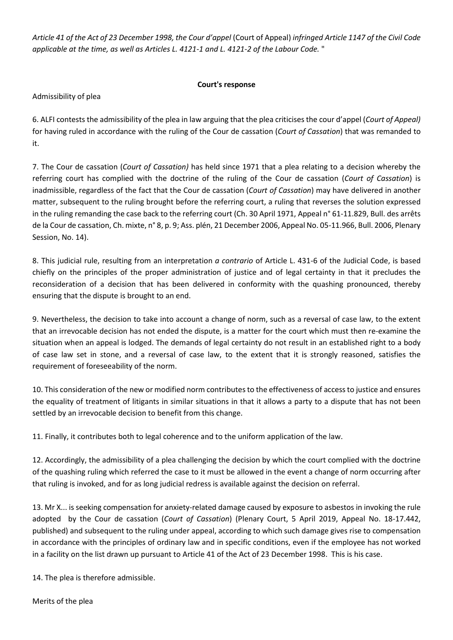*Article 41 of the Act of 23 December 1998, the Cour d'appel* (Court of Appeal) *infringed Article 1147 of the Civil Code applicable at the time, as well as Articles L. 4121-1 and L. 4121-2 of the Labour Code.* "

## **Court's response**

Admissibility of plea

6. ALFI contests the admissibility of the plea in law arguing that the plea criticises the cour d'appel (*Court of Appeal)* for having ruled in accordance with the ruling of the Cour de cassation (*Court of Cassation*) that was remanded to it.

7. The Cour de cassation (*Court of Cassation)* has held since 1971 that a plea relating to a decision whereby the referring court has complied with the doctrine of the ruling of the Cour de cassation (*Court of Cassation*) is inadmissible, regardless of the fact that the Cour de cassation (*Court of Cassation*) may have delivered in another matter, subsequent to the ruling brought before the referring court, a ruling that reverses the solution expressed in the ruling remanding the case back to the referring court (Ch. 30 April 1971, Appeal n° 61-11.829, Bull. des arrêts de la Cour de cassation, Ch. mixte, n° 8, p. 9; Ass. plén, 21 December 2006, Appeal No. 05-11.966, Bull. 2006, Plenary Session, No. 14).

8. This judicial rule, resulting from an interpretation *a contrario* of Article L. 431-6 of the Judicial Code, is based chiefly on the principles of the proper administration of justice and of legal certainty in that it precludes the reconsideration of a decision that has been delivered in conformity with the quashing pronounced, thereby ensuring that the dispute is brought to an end.

9. Nevertheless, the decision to take into account a change of norm, such as a reversal of case law, to the extent that an irrevocable decision has not ended the dispute, is a matter for the court which must then re-examine the situation when an appeal is lodged. The demands of legal certainty do not result in an established right to a body of case law set in stone, and a reversal of case law, to the extent that it is strongly reasoned, satisfies the requirement of foreseeability of the norm.

10. This consideration of the new or modified norm contributes to the effectiveness of access to justice and ensures the equality of treatment of litigants in similar situations in that it allows a party to a dispute that has not been settled by an irrevocable decision to benefit from this change.

11. Finally, it contributes both to legal coherence and to the uniform application of the law.

12. Accordingly, the admissibility of a plea challenging the decision by which the court complied with the doctrine of the quashing ruling which referred the case to it must be allowed in the event a change of norm occurring after that ruling is invoked, and for as long judicial redress is available against the decision on referral.

13. Mr X... is seeking compensation for anxiety-related damage caused by exposure to asbestos in invoking the rule adopted by the Cour de cassation (*Court of Cassation*) (Plenary Court, 5 April 2019, Appeal No. 18-17.442, published) and subsequent to the ruling under appeal, according to which such damage gives rise to compensation in accordance with the principles of ordinary law and in specific conditions, even if the employee has not worked in a facility on the list drawn up pursuant to Article 41 of the Act of 23 December 1998. This is his case.

14. The plea is therefore admissible.